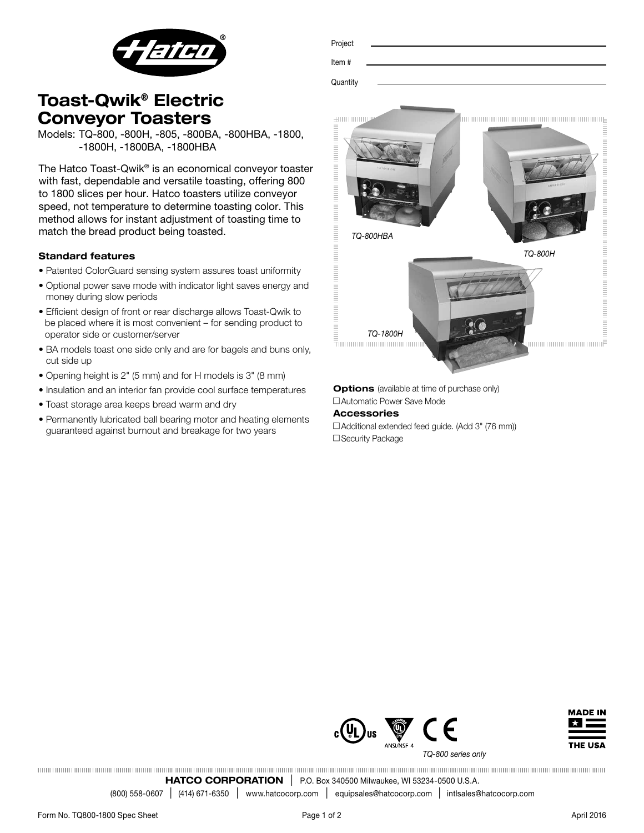

| Project  |  |  |  |
|----------|--|--|--|
|          |  |  |  |
| Item#    |  |  |  |
|          |  |  |  |
| Quantity |  |  |  |
|          |  |  |  |

# Toast-Qwik® Electric Conveyor Toasters

Models: TQ-800, -800H, -805, -800BA, -800HBA, -1800, -1800H, -1800BA, -1800HBA

The Hatco Toast-Qwik® is an economical conveyor toaster with fast, dependable and versatile toasting, offering 800 to 1800 slices per hour. Hatco toasters utilize conveyor speed, not temperature to determine toasting color. This method allows for instant adjustment of toasting time to match the bread product being toasted.

# Standard features

- Patented ColorGuard sensing system assures toast uniformity
- Optional power save mode with indicator light saves energy and money during slow periods
- Efficient design of front or rear discharge allows Toast-Qwik to be placed where it is most convenient – for sending product to operator side or customer/server
- BA models toast one side only and are for bagels and buns only, cut side up
- Opening height is 2" (5 mm) and for H models is 3" (8 mm)
- Insulation and an interior fan provide cool surface temperatures
- Toast storage area keeps bread warm and dry
- Permanently lubricated ball bearing motor and heating elements guaranteed against burnout and breakage for two years



**Options** (available at time of purchase only) □ Automatic Power Save Mode

## Accessories

□ Additional extended feed guide. (Add 3" (76 mm)) □ Security Package





*TQ-800 series only*

HATCO CORPORATION | P.O. Box 340500 Milwaukee, WI 53234-0500 U.S.A.

(800) 558-0607 l (414) 671-6350 <sup>l</sup> www.hatcocorp.com <sup>l</sup> equipsales@hatcocorp.com l intlsales@hatcocorp.com